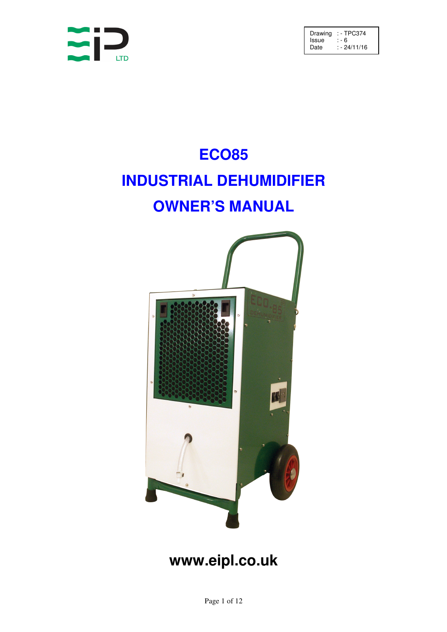

# **ECO85 INDUSTRIAL DEHUMIDIFIER OWNER'S MANUAL**



## **www.eipl.co.uk**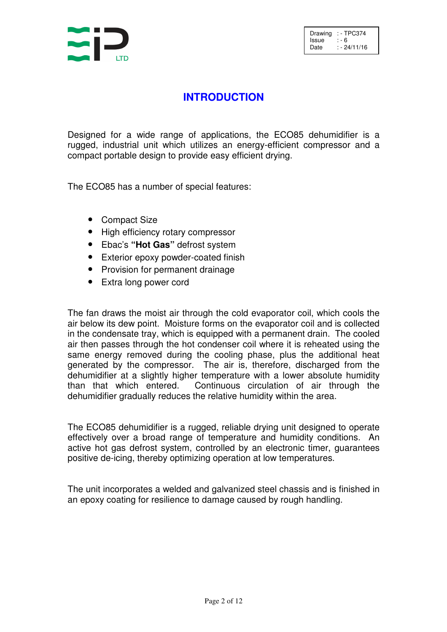

## **INTRODUCTION**

Designed for a wide range of applications, the ECO85 dehumidifier is a rugged, industrial unit which utilizes an energy-efficient compressor and a compact portable design to provide easy efficient drying.

The ECO85 has a number of special features:

- Compact Size
- High efficiency rotary compressor
- Ebac's **"Hot Gas"** defrost system
- Exterior epoxy powder-coated finish
- Provision for permanent drainage
- Extra long power cord

The fan draws the moist air through the cold evaporator coil, which cools the air below its dew point. Moisture forms on the evaporator coil and is collected in the condensate tray, which is equipped with a permanent drain. The cooled air then passes through the hot condenser coil where it is reheated using the same energy removed during the cooling phase, plus the additional heat generated by the compressor. The air is, therefore, discharged from the dehumidifier at a slightly higher temperature with a lower absolute humidity than that which entered. Continuous circulation of air through the dehumidifier gradually reduces the relative humidity within the area.

The ECO85 dehumidifier is a rugged, reliable drying unit designed to operate effectively over a broad range of temperature and humidity conditions. An active hot gas defrost system, controlled by an electronic timer, guarantees positive de-icing, thereby optimizing operation at low temperatures.

The unit incorporates a welded and galvanized steel chassis and is finished in an epoxy coating for resilience to damage caused by rough handling.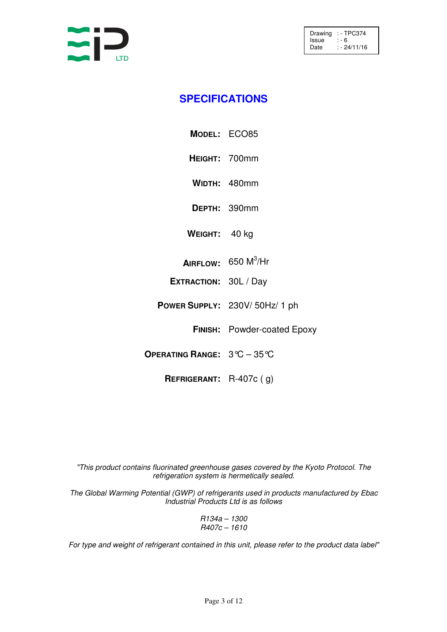

## **SPECIFICATIONS**

| MODEL: ECO85                                    |                                    |
|-------------------------------------------------|------------------------------------|
| HEIGHT: 700mm                                   |                                    |
|                                                 | <b>WIDTH: 480mm</b>                |
|                                                 | DEPTH: 390mm                       |
| <b>WEIGHT:</b> $40 \text{ kg}$                  |                                    |
|                                                 | AIRFLOW: 650 M <sup>3</sup> /Hr    |
| <b>EXTRACTION: 30L/Day</b>                      |                                    |
|                                                 | POWER SUPPLY: 230V/50Hz/1ph        |
|                                                 | <b>FINISH:</b> Powder-coated Epoxy |
| OPERATING RANGE: $3^{\circ}$ C - $35^{\circ}$ C |                                    |
|                                                 |                                    |

"This product contains fluorinated greenhouse gases covered by the Kyoto Protocol. The

**REFRIGERANT:** R-407c ( g)

refrigeration system is hermetically sealed.

The Global Warming Potential (GWP) of refrigerants used in products manufactured by Ebac Industrial Products Ltd is as follows

> R134a – 1300 R407c – 1610

For type and weight of refrigerant contained in this unit, please refer to the product data label"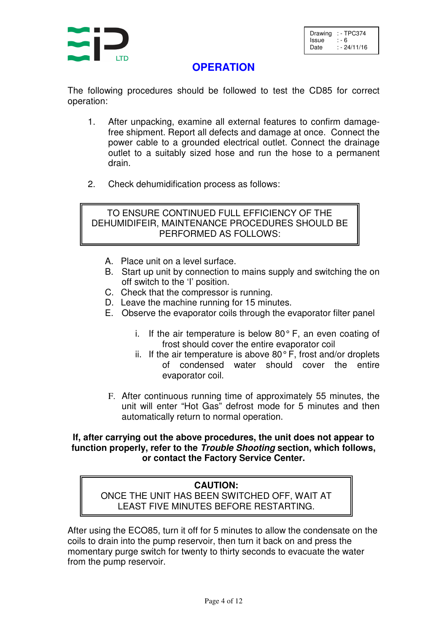## **OPERATION**

The following procedures should be followed to test the CD85 for correct operation:

- 1. After unpacking, examine all external features to confirm damagefree shipment. Report all defects and damage at once. Connect the power cable to a grounded electrical outlet. Connect the drainage outlet to a suitably sized hose and run the hose to a permanent drain.
- 2. Check dehumidification process as follows:

#### TO ENSURE CONTINUED FULL EFFICIENCY OF THE DEHUMIDIFEIR, MAINTENANCE PROCEDURES SHOULD BE PERFORMED AS FOLLOWS:

- A. Place unit on a level surface.
- B. Start up unit by connection to mains supply and switching the on off switch to the 'I' position.
- C. Check that the compressor is running.
- D. Leave the machine running for 15 minutes.
- E. Observe the evaporator coils through the evaporator filter panel
	- i. If the air temperature is below  $80^\circ$  F, an even coating of frost should cover the entire evaporator coil
	- ii. If the air temperature is above  $80^\circ$  F, frost and/or droplets of condensed water should cover the entire evaporator coil.
- F. After continuous running time of approximately 55 minutes, the unit will enter "Hot Gas" defrost mode for 5 minutes and then automatically return to normal operation.

#### **If, after carrying out the above procedures, the unit does not appear to function properly, refer to the Trouble Shooting section, which follows, or contact the Factory Service Center.**

#### **CAUTION:**

ONCE THE UNIT HAS BEEN SWITCHED OFF, WAIT AT LEAST FIVE MINUTES BEFORE RESTARTING.

After using the ECO85, turn it off for 5 minutes to allow the condensate on the coils to drain into the pump reservoir, then turn it back on and press the momentary purge switch for twenty to thirty seconds to evacuate the water from the pump reservoir.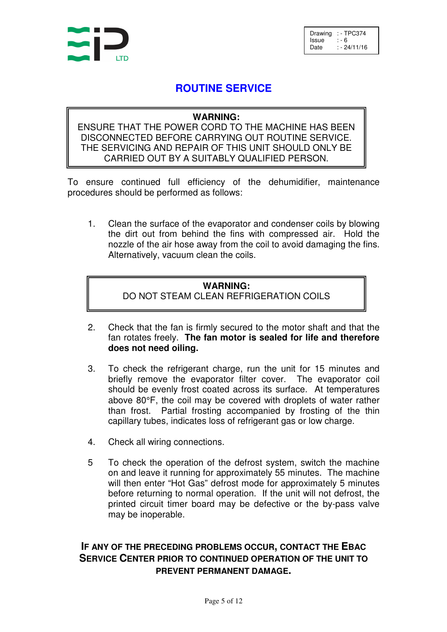

Drawing  $:$  - TPC374<br>Issue  $:$  - 6 Issue<br>Date  $: -24/11/16$ 

## **ROUTINE SERVICE**

#### **WARNING:**

ENSURE THAT THE POWER CORD TO THE MACHINE HAS BEEN DISCONNECTED BEFORE CARRYING OUT ROUTINE SERVICE. THE SERVICING AND REPAIR OF THIS UNIT SHOULD ONLY BE CARRIED OUT BY A SUITABLY QUALIFIED PERSON.

To ensure continued full efficiency of the dehumidifier, maintenance procedures should be performed as follows:

 1. Clean the surface of the evaporator and condenser coils by blowing the dirt out from behind the fins with compressed air. Hold the nozzle of the air hose away from the coil to avoid damaging the fins. Alternatively, vacuum clean the coils.

#### **WARNING:**

DO NOT STEAM CLEAN REFRIGERATION COILS

- 2. Check that the fan is firmly secured to the motor shaft and that the fan rotates freely. **The fan motor is sealed for life and therefore does not need oiling.**
- 3. To check the refrigerant charge, run the unit for 15 minutes and briefly remove the evaporator filter cover. The evaporator coil should be evenly frost coated across its surface. At temperatures above 80°F, the coil may be covered with droplets of water rather than frost. Partial frosting accompanied by frosting of the thin capillary tubes, indicates loss of refrigerant gas or low charge.
- 4. Check all wiring connections.
- 5 To check the operation of the defrost system, switch the machine on and leave it running for approximately 55 minutes. The machine will then enter "Hot Gas" defrost mode for approximately 5 minutes before returning to normal operation. If the unit will not defrost, the printed circuit timer board may be defective or the by-pass valve may be inoperable.

#### **IF ANY OF THE PRECEDING PROBLEMS OCCUR, CONTACT THE EBAC SERVICE CENTER PRIOR TO CONTINUED OPERATION OF THE UNIT TO PREVENT PERMANENT DAMAGE.**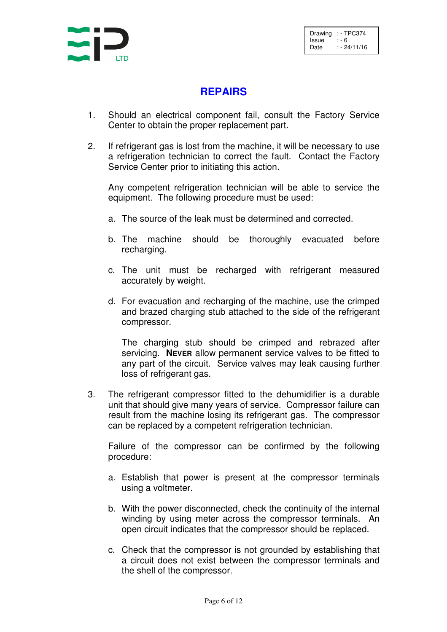

## **REPAIRS**

- 1. Should an electrical component fail, consult the Factory Service Center to obtain the proper replacement part.
- 2. If refrigerant gas is lost from the machine, it will be necessary to use a refrigeration technician to correct the fault. Contact the Factory Service Center prior to initiating this action.

 Any competent refrigeration technician will be able to service the equipment. The following procedure must be used:

- a. The source of the leak must be determined and corrected.
- b. The machine should be thoroughly evacuated before recharging.
- c. The unit must be recharged with refrigerant measured accurately by weight.
- d. For evacuation and recharging of the machine, use the crimped and brazed charging stub attached to the side of the refrigerant compressor.

 The charging stub should be crimped and rebrazed after servicing. **NEVER** allow permanent service valves to be fitted to any part of the circuit. Service valves may leak causing further loss of refrigerant gas.

 3. The refrigerant compressor fitted to the dehumidifier is a durable unit that should give many years of service. Compressor failure can result from the machine losing its refrigerant gas. The compressor can be replaced by a competent refrigeration technician.

 Failure of the compressor can be confirmed by the following procedure:

- a. Establish that power is present at the compressor terminals using a voltmeter.
- b. With the power disconnected, check the continuity of the internal winding by using meter across the compressor terminals. An open circuit indicates that the compressor should be replaced.
- c. Check that the compressor is not grounded by establishing that a circuit does not exist between the compressor terminals and the shell of the compressor.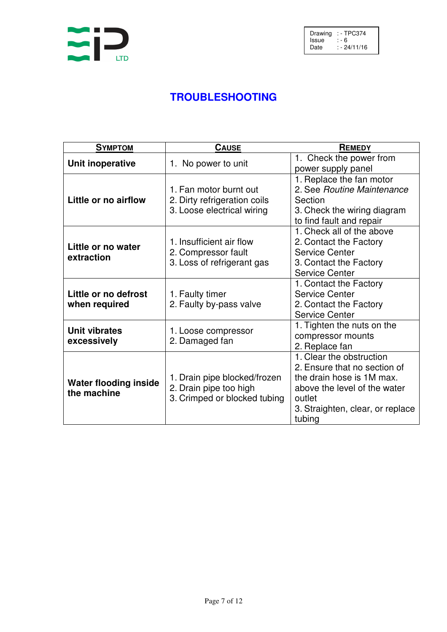

## **TROUBLESHOOTING**

| <b>SYMPTOM</b>                              | <b>CAUSE</b>                                                                           | <b>REMEDY</b>                                                                                                                                                                 |  |
|---------------------------------------------|----------------------------------------------------------------------------------------|-------------------------------------------------------------------------------------------------------------------------------------------------------------------------------|--|
| Unit inoperative                            | 1. No power to unit                                                                    | 1. Check the power from<br>power supply panel                                                                                                                                 |  |
| Little or no airflow                        | 1. Fan motor burnt out<br>2. Dirty refrigeration coils<br>3. Loose electrical wiring   | 1. Replace the fan motor<br>2. See Routine Maintenance<br>Section<br>3. Check the wiring diagram<br>to find fault and repair                                                  |  |
| Little or no water<br>extraction            | 1. Insufficient air flow<br>2. Compressor fault<br>3. Loss of refrigerant gas          | 1. Check all of the above<br>2. Contact the Factory<br><b>Service Center</b><br>3. Contact the Factory<br><b>Service Center</b>                                               |  |
| Little or no defrost<br>when required       | 1. Faulty timer<br>2. Faulty by-pass valve                                             | 1. Contact the Factory<br><b>Service Center</b><br>2. Contact the Factory<br><b>Service Center</b>                                                                            |  |
| <b>Unit vibrates</b><br>excessively         | 1. Loose compressor<br>2. Damaged fan                                                  | 1. Tighten the nuts on the<br>compressor mounts<br>2. Replace fan                                                                                                             |  |
| <b>Water flooding inside</b><br>the machine | 1. Drain pipe blocked/frozen<br>2. Drain pipe too high<br>3. Crimped or blocked tubing | 1. Clear the obstruction<br>2. Ensure that no section of<br>the drain hose is 1M max.<br>above the level of the water<br>outlet<br>3. Straighten, clear, or replace<br>tubing |  |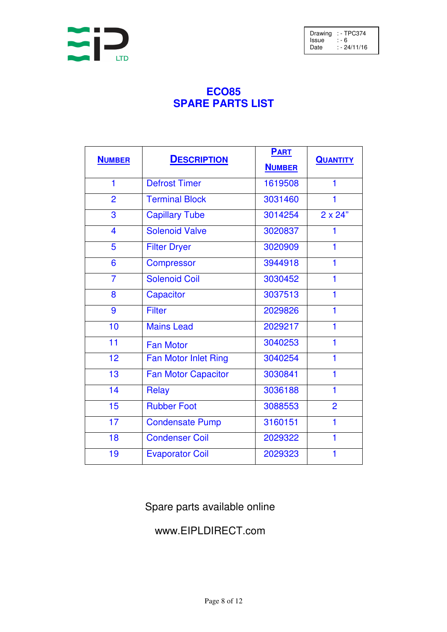

## **ECO85 SPARE PARTS LIST**

|                         | <b>NUMBER</b><br><b>DESCRIPTION</b> | <b>PART</b>   |                 |
|-------------------------|-------------------------------------|---------------|-----------------|
|                         |                                     | <b>NUMBER</b> | <b>QUANTITY</b> |
| 1                       | <b>Defrost Timer</b>                | 1619508       | 1               |
| $\overline{2}$          | <b>Terminal Block</b>               | 3031460       | 1               |
| 3                       | <b>Capillary Tube</b>               | 3014254       | $2 \times 24"$  |
| $\overline{\mathbf{4}}$ | <b>Solenoid Valve</b>               | 3020837       |                 |
| 5                       | <b>Filter Dryer</b>                 | 3020909       | 1               |
| 6                       | <b>Compressor</b>                   | 3944918       | 1               |
| $\overline{7}$          | <b>Solenoid Coil</b>                | 3030452       | 1               |
| 8                       | Capacitor                           | 3037513       |                 |
| 9                       | <b>Filter</b>                       | 2029826       | 1               |
| 10                      | <b>Mains Lead</b>                   | 2029217       | 1               |
| 11                      | <b>Fan Motor</b>                    | 3040253       | 1               |
| 12                      | <b>Fan Motor Inlet Ring</b>         | 3040254       | 1               |
| $\overline{13}$         | <b>Fan Motor Capacitor</b>          | 3030841       | 1               |
| 14                      | <b>Relay</b>                        | 3036188       | 1               |
| 15                      | <b>Rubber Foot</b>                  | 3088553       | $\overline{2}$  |
| 17                      | <b>Condensate Pump</b>              | 3160151       |                 |
| 18                      | <b>Condenser Coil</b>               | 2029322       | 1               |
| 19                      | <b>Evaporator Coil</b>              | 2029323       |                 |

Spare parts available online

## www.EIPLDIRECT.com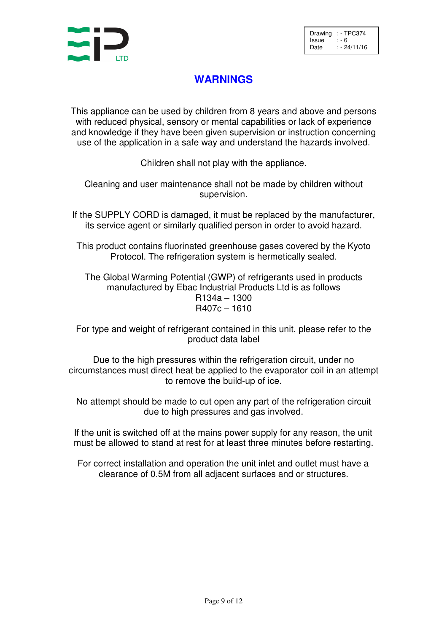

## **WARNINGS**

This appliance can be used by children from 8 years and above and persons with reduced physical, sensory or mental capabilities or lack of experience and knowledge if they have been given supervision or instruction concerning use of the application in a safe way and understand the hazards involved.

Children shall not play with the appliance.

Cleaning and user maintenance shall not be made by children without supervision.

If the SUPPLY CORD is damaged, it must be replaced by the manufacturer, its service agent or similarly qualified person in order to avoid hazard.

This product contains fluorinated greenhouse gases covered by the Kyoto Protocol. The refrigeration system is hermetically sealed.

The Global Warming Potential (GWP) of refrigerants used in products manufactured by Ebac Industrial Products Ltd is as follows R134a – 1300 R407c – 1610

For type and weight of refrigerant contained in this unit, please refer to the product data label

Due to the high pressures within the refrigeration circuit, under no circumstances must direct heat be applied to the evaporator coil in an attempt to remove the build-up of ice.

No attempt should be made to cut open any part of the refrigeration circuit due to high pressures and gas involved.

If the unit is switched off at the mains power supply for any reason, the unit must be allowed to stand at rest for at least three minutes before restarting.

For correct installation and operation the unit inlet and outlet must have a clearance of 0.5M from all adjacent surfaces and or structures.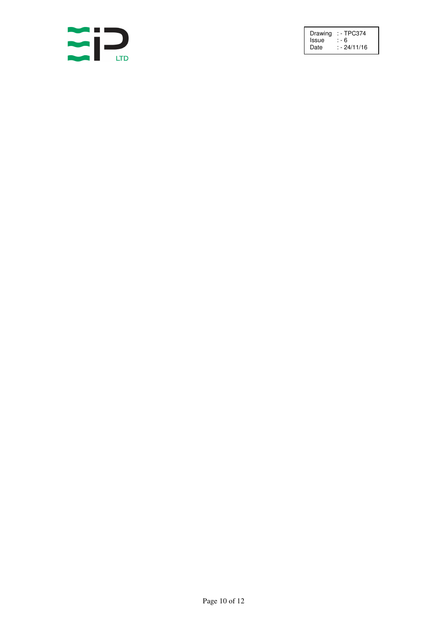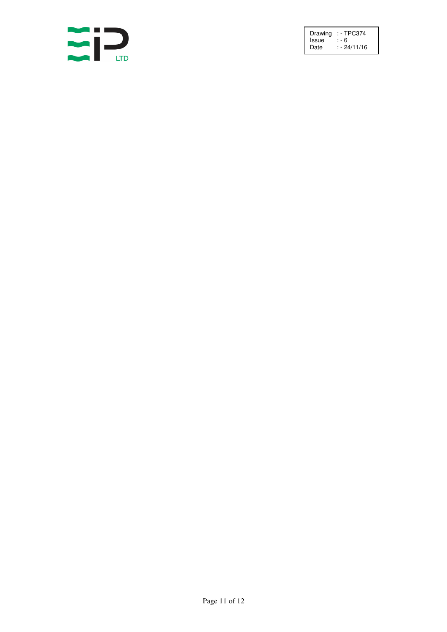